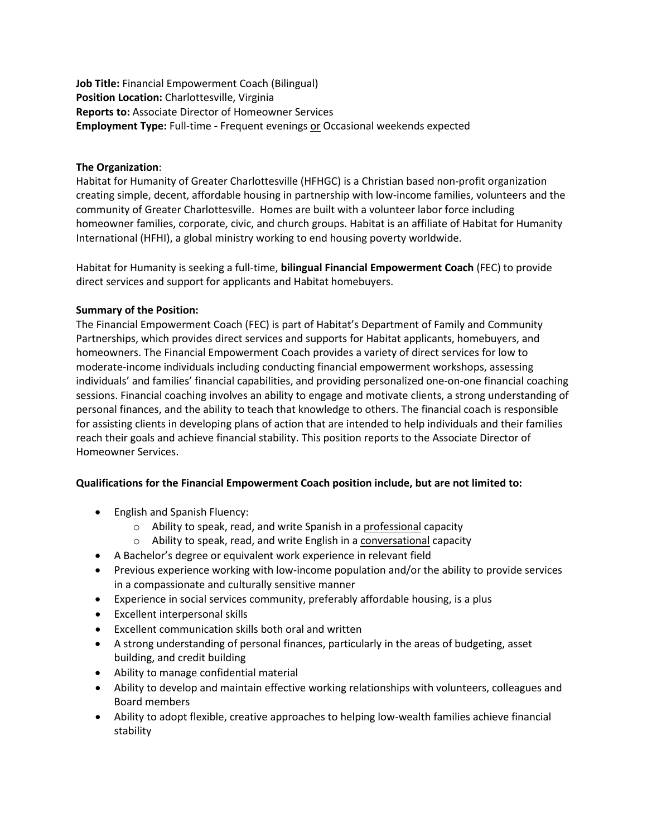**Job Title:** Financial Empowerment Coach (Bilingual) **Position Location:** Charlottesville, Virginia **Reports to:** Associate Director of Homeowner Services **Employment Type:** Full-time **-** Frequent evenings or Occasional weekends expected

## **The Organization**:

Habitat for Humanity of Greater Charlottesville (HFHGC) is a Christian based non-profit organization creating simple, decent, affordable housing in partnership with low-income families, volunteers and the community of Greater Charlottesville. Homes are built with a volunteer labor force including homeowner families, corporate, civic, and church groups. Habitat is an affiliate of Habitat for Humanity International (HFHI), a global ministry working to end housing poverty worldwide.

Habitat for Humanity is seeking a full-time, **bilingual Financial Empowerment Coach** (FEC) to provide direct services and support for applicants and Habitat homebuyers.

## **Summary of the Position:**

The Financial Empowerment Coach (FEC) is part of Habitat's Department of Family and Community Partnerships, which provides direct services and supports for Habitat applicants, homebuyers, and homeowners. The Financial Empowerment Coach provides a variety of direct services for low to moderate-income individuals including conducting financial empowerment workshops, assessing individuals' and families' financial capabilities, and providing personalized one-on-one financial coaching sessions. Financial coaching involves an ability to engage and motivate clients, a strong understanding of personal finances, and the ability to teach that knowledge to others. The financial coach is responsible for assisting clients in developing plans of action that are intended to help individuals and their families reach their goals and achieve financial stability. This position reports to the Associate Director of Homeowner Services.

## **Qualifications for the Financial Empowerment Coach position include, but are not limited to:**

- English and Spanish Fluency:
	- o Ability to speak, read, and write Spanish in a professional capacity
	- o Ability to speak, read, and write English in a conversational capacity
- A Bachelor's degree or equivalent work experience in relevant field
- Previous experience working with low-income population and/or the ability to provide services in a compassionate and culturally sensitive manner
- Experience in social services community, preferably affordable housing, is a plus
- Excellent interpersonal skills
- Excellent communication skills both oral and written
- A strong understanding of personal finances, particularly in the areas of budgeting, asset building, and credit building
- Ability to manage confidential material
- Ability to develop and maintain effective working relationships with volunteers, colleagues and Board members
- Ability to adopt flexible, creative approaches to helping low-wealth families achieve financial stability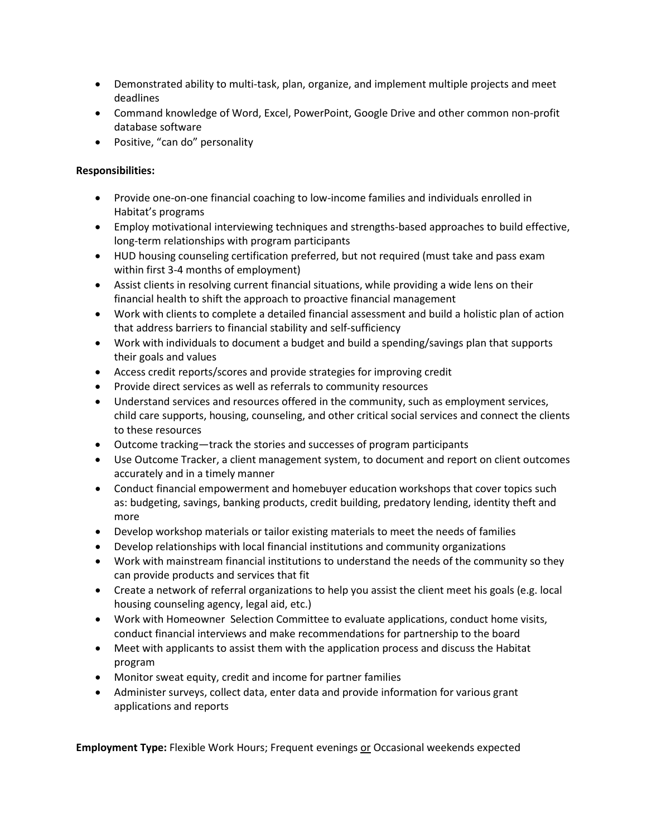- Demonstrated ability to multi-task, plan, organize, and implement multiple projects and meet deadlines
- Command knowledge of Word, Excel, PowerPoint, Google Drive and other common non-profit database software
- Positive, "can do" personality

## **Responsibilities:**

- Provide one-on-one financial coaching to low-income families and individuals enrolled in Habitat's programs
- Employ motivational interviewing techniques and strengths-based approaches to build effective, long-term relationships with program participants
- HUD housing counseling certification preferred, but not required (must take and pass exam within first 3-4 months of employment)
- Assist clients in resolving current financial situations, while providing a wide lens on their financial health to shift the approach to proactive financial management
- Work with clients to complete a detailed financial assessment and build a holistic plan of action that address barriers to financial stability and self-sufficiency
- Work with individuals to document a budget and build a spending/savings plan that supports their goals and values
- Access credit reports/scores and provide strategies for improving credit
- Provide direct services as well as referrals to community resources
- Understand services and resources offered in the community, such as employment services, child care supports, housing, counseling, and other critical social services and connect the clients to these resources
- Outcome tracking—track the stories and successes of program participants
- Use Outcome Tracker, a client management system, to document and report on client outcomes accurately and in a timely manner
- Conduct financial empowerment and homebuyer education workshops that cover topics such as: budgeting, savings, banking products, credit building, predatory lending, identity theft and more
- Develop workshop materials or tailor existing materials to meet the needs of families
- Develop relationships with local financial institutions and community organizations
- Work with mainstream financial institutions to understand the needs of the community so they can provide products and services that fit
- Create a network of referral organizations to help you assist the client meet his goals (e.g. local housing counseling agency, legal aid, etc.)
- Work with Homeowner Selection Committee to evaluate applications, conduct home visits, conduct financial interviews and make recommendations for partnership to the board
- Meet with applicants to assist them with the application process and discuss the Habitat program
- Monitor sweat equity, credit and income for partner families
- Administer surveys, collect data, enter data and provide information for various grant applications and reports

**Employment Type:** Flexible Work Hours; Frequent evenings or Occasional weekends expected